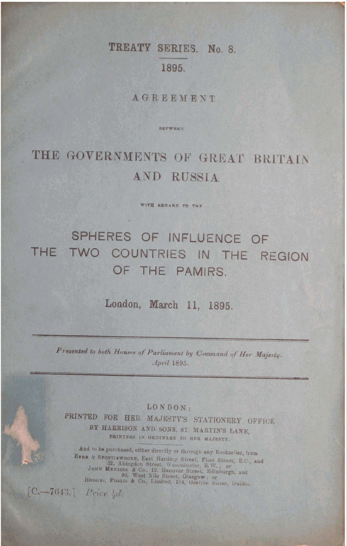## TREATY SERIES. No. 8. 1895.

AGREEMENT

**BETWEEN** 

# THE GOVERNMENTS OF GREAT BRITAIN AND RUSSIA

WITH REGARD TO THE

# SPHERES OF INFLUENCE OF THE TWO COUNTRIES IN THE REGION OF THE PAMIRS.

London, March 11, 1895.

Presented to both Houses of Parliament by Command of Her Majesty. April 1895.

LONDON:

PRINTED FOR HER MAJESTY'S STATIONERY OFFICE BY HARRISON AND SONS, ST. MARTIN'S LANE, PRINTERS IN ORDINARY TO HER MAJESTY.

And to be purchased, either directly or through any Bookseller, from ETRE & SPOTTISWOODE, East Harding Street, Fleet Street, E.C., and JOHN MENZIES & CO., 12, Hanover Street, Edinburgh, and JOHN MENZIES & CO., Limited, 104, Grafton Street, Dublin,  $[C. - 7643.]$  Price  $\frac{1}{2}d$ .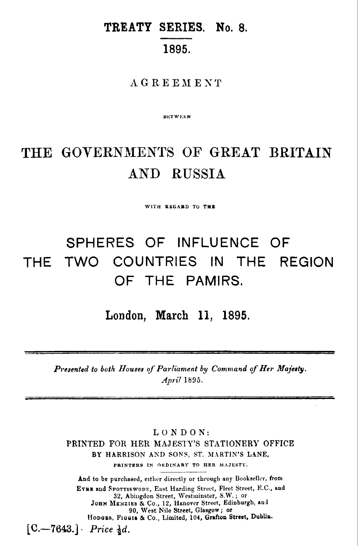### **TREATY SERIES. No. 8.**  1895.

#### **AGREEMENT**

**BETWEEN** 

## THE **GOVERNMENTS** OF **GREAT BRITAIN AND** RUSSIA

WITH REGARD TO THE

## SPHERES OF INFLUENCE OF THE TWO COUNTRIES IN THE REGION OF THE PAMIRS.

**London, March 11, 1895.** 

*Presented to both Houses* of *Parliament by Command* qf *Her Majerty. April* **1895.** 

**LONDON: PRINTED FOR HER MAJESTY'S STATIONERI' OFFICE**  BY HARRISON AND SONS, ST. MARTIN'S LANE, **PRINTERS IN ORDINARY TO HER MAJESTY.** 

And to be purchased, either directly or through any Bookseller, from EYRE and SPOTTISWODE, East Harding Street, Fleet Street, F.C., and 32, Abingdon Street, Westminster, S.W.; or **JOHN MENZIES & CO., 12, Hanover Street, Edinburgh, and 90, West Nile Street, Glasgow; or** Honous, Figois & Co., Limited, 104, Grafton Street, Dubliu.  $[C. - 7643.]$  *Price*  $\frac{1}{2}d$ *.*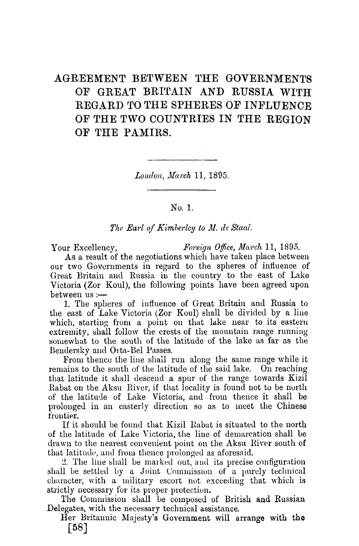#### AGREEMENT BETWEEN THE GOVERNMENTS OF GREAT BRITAIN AND RUSSIA WITH REGARD TO THE SPHERES OF INFLUENCE OF THE TWO COUNTRIES IN THE REGION OF THE PAMIRS.

London, March 11, 1895.

No. 1.

The Earl of Kimberley to M. de Staal.

Foreign Office, March 11, 1895. Your Excellency, As a result of the negotiations which have taken place between our two Governments in regard to the spheres of influence of Great Britain and Russia in the country to the east of Lake Victoria (Zor Koul), the following points have been agreed upon between us :-

1. The spheres of influence of Great Britain and Russia to the east of Lake Victoria (Zor Koul) shall be divided by a line which, starting from a point on that lake near to its eastern extremity, shall follow the crests of the mountain range running somewhat to the south of the latitude of the lake as far as the Bendersky and Orta-Bel Passes.

From thence the line shall run along the same range while it remains to the south of the latitude of the said lake. On reaching that latitude it shall descend a spur of the range towards Kizil Rabat on the Aksu River, if that locality is found not to be north of the latitude of Lake Victoria, and from thence it shall be prolonged in an easterly direction so as to meet the Chinese frontier.

If it should be found that Kizil Rabat is situated to the north of the latitude of Lake Victoria, the line of demarcation shall be drawn to the nearest convenient point on the Aksu River south of that latitude, and from thence prolonged as aforesaid.

2. The line shall be marked out, and its precise configuration shall be settled by a Joint Commission of a purely technical character, with a military escort not exceeding that which is strictly necessary for its proper protection.

The Commission shall be composed of British and Russian Delegates, with the necessary technical assistance.

Her Britannic Majesty's Government will arrange with the  $\lceil 58 \rceil$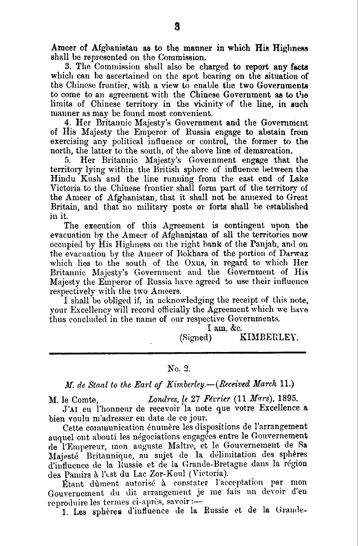Ameer of Afghanistan as to the manner in which His Highness shall be represented on the Commission.

3. The Commission shall also be charged to report any facts which can be ascertained on the spot bearing on the situation of the Chinese frontier, with a view to enable the two Governments to come to an agreement with the Chinese Government as to the limits of Chinese territory in the vicinity of the line, in such manner as may be found most convenient.

4. Her Britannic Majesty's Government and the Government of His Majesty the Emperor of Russia engage to abstain from exercising any political influence or control, the former to the north, the latter to the south, of the above line of demarcation.

Her Britannic Majesty's Government engage that the 5. territory lying within the British sphere of influence between the Hindu Kush and the line running from the east end of Lake Victoria to the Chinese frontier shall form part of the territory of the Ameer of Afghanistan, that it shall not be annexed to Great Britain, and that no military posts or forts shall be established in it.

The execution of this Agreement is contingent upon the evacuation by the Ameer of Afghanistan of all the territories now occupied by His Highness on the right bank of the Panjah, and on the evacuation by the Ameer of Bokhara of the portion of Darwaz which lies to the south of the Oxus, in regard to which Her Britannic Majesty's Government and the Government of His Majesty the Emperor of Russia have agreed to use their influence respectively with the two Ameers.

I shall be obliged if, in acknowledging the receipt of this note. your Excellency will record officially the Agreement which we have thus concluded in the name of our respective Governments.

 $I$  am, &c.

#### (Signed) KIMBERLEY.

#### No. 2.

#### M. de Staal to the Earl of Kimberley.-(Received March 11.)

Londres, le  $27$  Février (11 Mars), 1895. M. le Comte. J'AI eu l'honneur de recevoir la note que votre Excellence a bien voulu m'adresser en date de ce jour.

Cette communication énumère les dispositions de l'arrangement auquel ont abouti les négociations engagées entre le Gouvernement de l'Empereur, mon auguste Maître, et le Gouvernement de Sa Maiesté Britannique, au sujet de la délimitation des sphères d'influence de la Russie et de la Grande-Bretagne dans la région des Pamirs à l'est du Lac Zor-Koul (Victoria).

Étant dument autorisé à constater l'acceptation par mon Gouvernement du dit arrangement je me fais un devoir d'en reproduire les termes ci-après, savoir :-

1. Les sphères d'influence de la Russie et de la Grande-